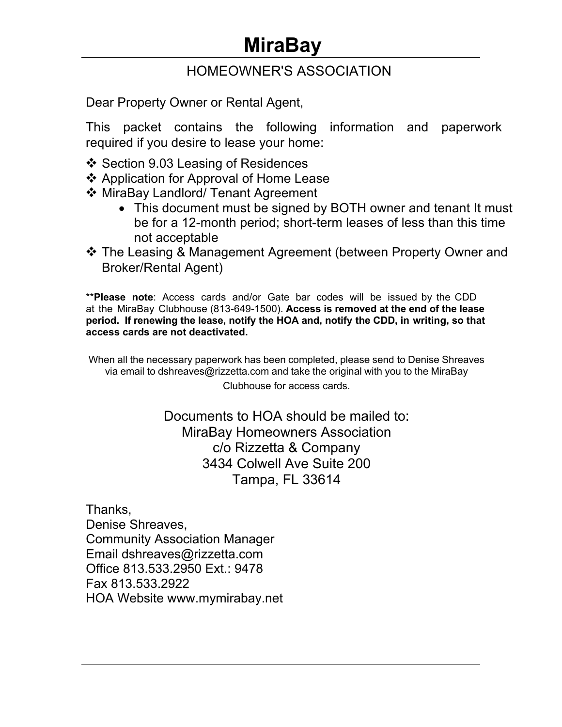# **MiraBay**

# HOMEOWNER'S ASSOCIATION

Dear Property Owner or Rental Agent,

This packet contains the following information and paperwork required if you desire to lease your home:

- ❖ Section 9.03 Leasing of Residences
- ❖ Application for Approval of Home Lease
- ❖ MiraBay Landlord/ Tenant Agreement
	- This document must be signed by BOTH owner and tenant It must be for a 12-month period; short-term leases of less than this time not acceptable
- The Leasing & Management Agreement (between Property Owner and Broker/Rental Agent)

\*\***Please note**: Access cards and/or Gate bar codes will be issued by the CDD at the MiraBay Clubhouse (813-649-1500). **Access is removed at the end of the lease period. If renewing the lease, notify the HOA and, notify the CDD, in writing, so that access cards are not deactivated.**

When all the necessary paperwork has been completed, please send to Denise Shreaves via email to dshreaves@rizzetta.com and take the original with you to the MiraBay

Clubhouse for access cards.

Documents to HOA should be mailed to: MiraBay Homeowners Association c/o Rizzetta & Company 3434 Colwell Ave Suite 200 Tampa, FL 33614

Thanks, Denise Shreaves, Community Association Manager Email dshreaves@rizzetta.com Office 813.533.2950 Ext.: 9478 Fax 813.533.2922 HOA Website www.mymirabay.net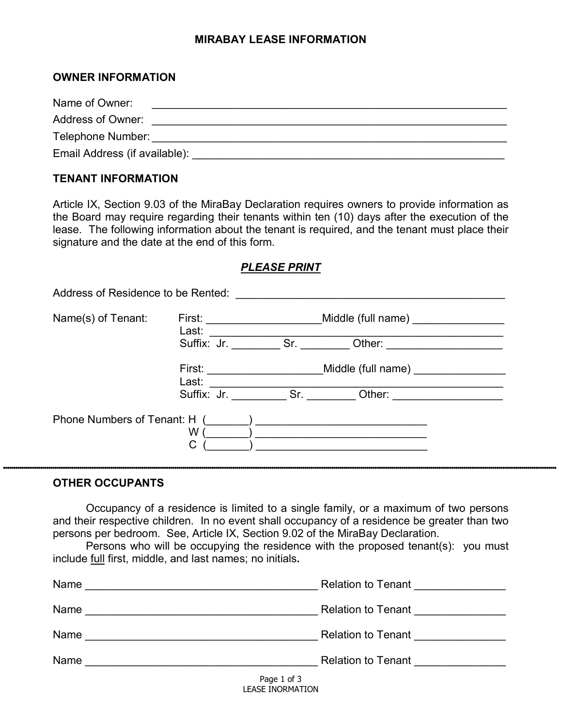# **MIRABAY LEASE INFORMATION**

# **OWNER INFORMATION**

Name of Owner: \_\_\_\_\_\_\_\_\_\_\_\_\_\_\_\_\_\_\_\_\_\_\_\_\_\_\_\_\_\_\_\_\_\_\_\_\_\_\_\_\_\_\_\_\_\_\_\_\_\_\_\_\_\_\_\_\_\_

Address of Owner: \_\_\_\_\_\_\_\_\_\_\_\_\_\_\_\_\_\_\_\_\_\_\_\_\_\_\_\_\_\_\_\_\_\_\_\_\_\_\_\_\_\_\_\_\_\_\_\_\_\_\_\_\_\_\_\_\_\_

Telephone Number: \_\_\_\_\_\_\_\_\_\_\_\_\_\_\_\_\_\_\_\_\_\_\_\_\_\_\_\_\_\_\_\_\_\_\_\_\_\_\_\_\_\_\_\_\_\_\_\_\_\_\_\_\_\_\_\_\_\_

Email Address (if available): \_\_\_\_\_\_\_\_\_\_\_\_\_\_\_\_\_\_\_\_\_\_\_\_\_\_\_\_\_\_\_\_\_\_\_\_\_\_\_\_\_\_\_\_\_\_\_\_\_\_\_

# **TENANT INFORMATION**

Article IX, Section 9.03 of the MiraBay Declaration requires owners to provide information as the Board may require regarding their tenants within ten (10) days after the execution of the lease. The following information about the tenant is required, and the tenant must place their signature and the date at the end of this form.

# *PLEASE PRINT*

| Address of Residence to be Rented: |                               |                                                                                                                                                                                                                                     |                              |  |
|------------------------------------|-------------------------------|-------------------------------------------------------------------------------------------------------------------------------------------------------------------------------------------------------------------------------------|------------------------------|--|
| Name(s) of Tenant:                 | First: _____________<br>Last: | Middle (full name)                                                                                                                                                                                                                  |                              |  |
|                                    | Suffix: Jr.                   | <b>Sr.</b> Section of the Section of the Section of the Section of the Section of the Section of the Section of the Section of the Section of the Section of the Section of the Section of the Section of the Section of the Sectio | Other: _____________________ |  |
|                                    | First:<br>Last:               |                                                                                                                                                                                                                                     | Middle (full name)           |  |
|                                    | Suffix: Jr.                   | Sr.                                                                                                                                                                                                                                 | Other:                       |  |
| Phone Numbers of Tenant: H (       | W<br>С                        |                                                                                                                                                                                                                                     |                              |  |

#### **OTHER OCCUPANTS**

Occupancy of a residence is limited to a single family, or a maximum of two persons and their respective children. In no event shall occupancy of a residence be greater than two persons per bedroom. See, Article IX, Section 9.02 of the MiraBay Declaration.

Persons who will be occupying the residence with the proposed tenant(s): you must include full first, middle, and last names; no initials**.**

| Name<br><u> 1989 - Johann Stein, mars an de Britannich (b. 1989)</u> | <b>Relation to Tenant</b> |
|----------------------------------------------------------------------|---------------------------|
| Name                                                                 | <b>Relation to Tenant</b> |
| Name                                                                 | <b>Relation to Tenant</b> |
| Name                                                                 | <b>Relation to Tenant</b> |
|                                                                      | $D = 4 + 4$               |

Page 1 of 3 LEASE INORMATION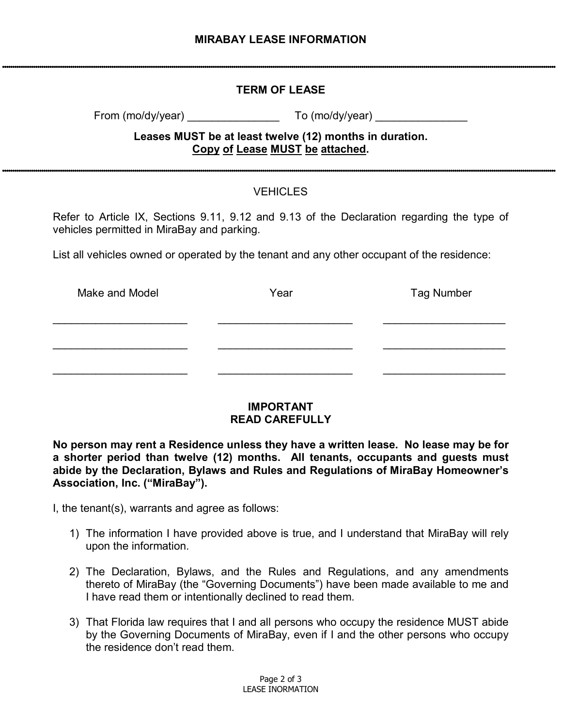# **TERM OF LEASE**

From (mo/dy/year) To (mo/dy/year)

# **Leases MUST be at least twelve (12) months in duration. Copy of Lease MUST be attached.**

# **VEHICLES**

Refer to Article IX, Sections 9.11, 9.12 and 9.13 of the Declaration regarding the type of vehicles permitted in MiraBay and parking.

List all vehicles owned or operated by the tenant and any other occupant of the residence:

| Make and Model | Year | <b>Tag Number</b> |  |
|----------------|------|-------------------|--|
|                |      |                   |  |
|                |      |                   |  |
|                |      |                   |  |

# **IMPORTANT READ CAREFULLY**

**No person may rent a Residence unless they have a written lease. No lease may be for a shorter period than twelve (12) months. All tenants, occupants and guests must abide by the Declaration, Bylaws and Rules and Regulations of MiraBay Homeowner's Association, Inc. ("MiraBay").** 

I, the tenant(s), warrants and agree as follows:

- 1) The information I have provided above is true, and I understand that MiraBay will rely upon the information.
- 2) The Declaration, Bylaws, and the Rules and Regulations, and any amendments thereto of MiraBay (the "Governing Documents") have been made available to me and I have read them or intentionally declined to read them.
- 3) That Florida law requires that I and all persons who occupy the residence MUST abide by the Governing Documents of MiraBay, even if I and the other persons who occupy the residence don't read them.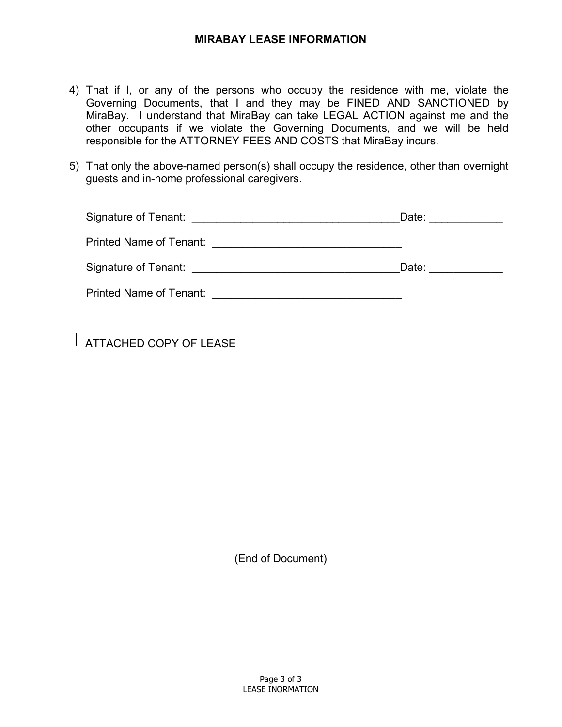# **MIRABAY LEASE INFORMATION**

- 4) That if I, or any of the persons who occupy the residence with me, violate the Governing Documents, that I and they may be FINED AND SANCTIONED by MiraBay. I understand that MiraBay can take LEGAL ACTION against me and the other occupants if we violate the Governing Documents, and we will be held responsible for the ATTORNEY FEES AND COSTS that MiraBay incurs.
- 5) That only the above-named person(s) shall occupy the residence, other than overnight guests and in-home professional caregivers.

| Signature of Tenant:<br><u> 1980 - John Stone, Amerikaansk politiker (</u> † 1920)                            | Date: |
|---------------------------------------------------------------------------------------------------------------|-------|
| Printed Name of Tenant:                                                                                       |       |
| Signature of Tenant: Network of Tenants and the Signature of Tenants and the Signature of Tenants and Tenants | Date: |
| <b>Printed Name of Tenant:</b>                                                                                |       |

 $\Box$  ATTACHED COPY OF LEASE

(End of Document)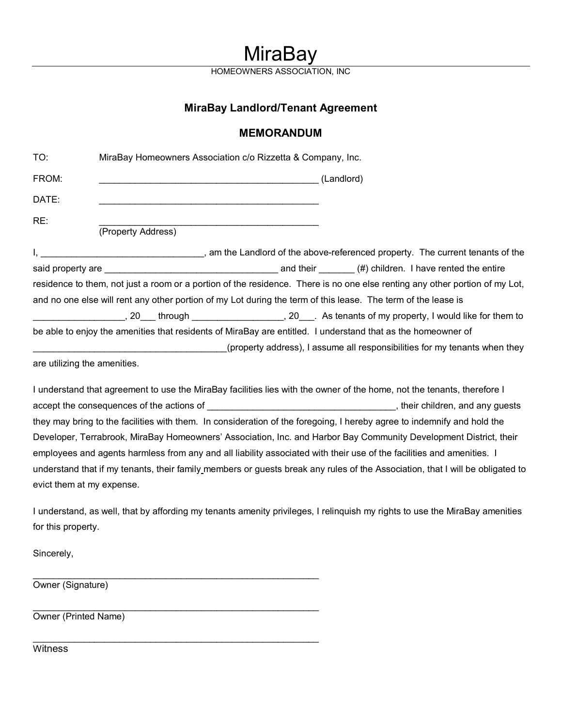# **MiraBay**

**HOMEOWNERS** 

# **MiraBay Landlord/Tenant Agreement**

# **MEMORANDUM**

| TO:                          | MiraBay Homeowners Association c/o Rizzetta & Company, Inc.                                                                                                       |
|------------------------------|-------------------------------------------------------------------------------------------------------------------------------------------------------------------|
| FROM:                        |                                                                                                                                                                   |
| DATE:                        |                                                                                                                                                                   |
| RE:                          | (Property Address)                                                                                                                                                |
|                              | am the Landlord of the above-referenced property. The current tenants of the expression the Landlord of the above-referenced property. The current tenants of the |
|                              |                                                                                                                                                                   |
|                              | residence to them, not just a room or a portion of the residence. There is no one else renting any other portion of my Lot,                                       |
|                              | and no one else will rent any other portion of my Lot during the term of this lease. The term of the lease is                                                     |
|                              | ______________________, 20____ through ____________________, 20____. As tenants of my property, I would like for them to                                          |
|                              | be able to enjoy the amenities that residents of MiraBay are entitled. I understand that as the homeowner of                                                      |
|                              | (property address), I assume all responsibilities for my tenants when they                                                                                        |
| are utilizing the amenities. |                                                                                                                                                                   |
|                              | I understand that agreement to use the MiraBay facilities lies with the owner of the home, not the tenants, therefore I                                           |

accept the consequences of the actions of \_\_\_\_\_\_\_\_\_\_\_\_\_\_\_\_\_\_\_\_\_\_\_\_\_\_\_\_\_\_\_\_\_\_\_\_\_, their children, and any guests they may bring to the facilities with them. In consideration of the foregoing, I hereby agree to indemnify and hold the Developer, Terrabrook, MiraBay Homeowners' Association, Inc. and Harbor Bay Community Development District, their employees and agents harmless from any and all liability associated with their use of the facilities and amenities. I understand that if my tenants, their family members or guests break any rules of the Association, that I will be obligated to evict them at my expense.

I understand, as well, that by affording my tenants amenity privileges, I relinquish my rights to use the MiraBay amenities for this property.

Sincerely,

\_\_\_\_\_\_\_\_\_\_\_\_\_\_\_\_\_\_\_\_\_\_\_\_\_\_\_\_\_\_\_\_\_\_\_\_\_\_\_\_\_\_\_\_\_\_\_\_\_\_\_\_\_\_\_\_ Owner (Signature)

\_\_\_\_\_\_\_\_\_\_\_\_\_\_\_\_\_\_\_\_\_\_\_\_\_\_\_\_\_\_\_\_\_\_\_\_\_\_\_\_\_\_\_\_\_\_\_\_\_\_\_\_\_\_\_\_ Owner (Printed Name)

\_\_\_\_\_\_\_\_\_\_\_\_\_\_\_\_\_\_\_\_\_\_\_\_\_\_\_\_\_\_\_\_\_\_\_\_\_\_\_\_\_\_\_\_\_\_\_\_\_\_\_\_\_\_\_\_

**Witness**